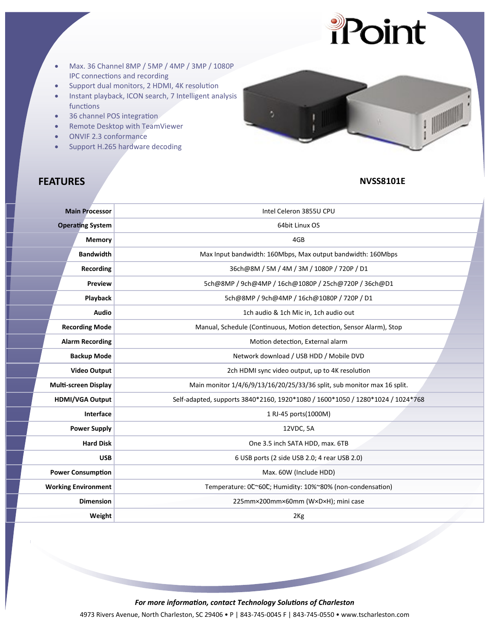

- Max. 36 Channel 8MP / 5MP / 4MP / 3MP / 1080P IPC connections and recording
- Support dual monitors, 2 HDMI, 4K resolution
- Instant playback, ICON search, 7 Intelligent analysis functions
- 36 channel POS integration
- Remote Desktop with TeamViewer
- ONVIF 2.3 conformance
- Support H.265 hardware decoding

# $\begin{picture}(20,20) \put(0,0){\line(1,0){10}} \put(15,0){\line(1,0){10}} \put(15,0){\line(1,0){10}} \put(15,0){\line(1,0){10}} \put(15,0){\line(1,0){10}} \put(15,0){\line(1,0){10}} \put(15,0){\line(1,0){10}} \put(15,0){\line(1,0){10}} \put(15,0){\line(1,0){10}} \put(15,0){\line(1,0){10}} \put(15,0){\line(1,0){10}} \put(15,0){\line(1$

# **FEATURES NVSS8101E**

| <b>Main Processor</b>       | Intel Celeron 3855U CPU                                                        |
|-----------------------------|--------------------------------------------------------------------------------|
| <b>Operating System</b>     | 64bit Linux OS                                                                 |
| Memory                      | 4GB                                                                            |
| <b>Bandwidth</b>            | Max Input bandwidth: 160Mbps, Max output bandwidth: 160Mbps                    |
| Recording                   | 36ch@8M / 5M / 4M / 3M / 1080P / 720P / D1                                     |
| Preview                     | 5ch@8MP / 9ch@4MP / 16ch@1080P / 25ch@720P / 36ch@D1                           |
| Playback                    | 5ch@8MP / 9ch@4MP / 16ch@1080P / 720P / D1                                     |
| <b>Audio</b>                | 1ch audio & 1ch Mic in, 1ch audio out                                          |
| <b>Recording Mode</b>       | Manual, Schedule (Continuous, Motion detection, Sensor Alarm), Stop            |
| <b>Alarm Recording</b>      | Motion detection, External alarm                                               |
| <b>Backup Mode</b>          | Network download / USB HDD / Mobile DVD                                        |
| <b>Video Output</b>         | 2ch HDMI sync video output, up to 4K resolution                                |
| <b>Multi-screen Display</b> | Main monitor 1/4/6/9/13/16/20/25/33/36 split, sub monitor max 16 split.        |
| <b>HDMI/VGA Output</b>      | Self-adapted, supports 3840*2160, 1920*1080 / 1600*1050 / 1280*1024 / 1024*768 |
| Interface                   | 1 RJ-45 ports(1000M)                                                           |
| <b>Power Supply</b>         | 12VDC, 5A                                                                      |
| <b>Hard Disk</b>            | One 3.5 inch SATA HDD, max. 6TB                                                |
| <b>USB</b>                  | 6 USB ports (2 side USB 2.0; 4 rear USB 2.0)                                   |
| <b>Power Consumption</b>    | Max. 60W (Include HDD)                                                         |
| <b>Working Environment</b>  | Temperature: 0°C60°C; Humidity: 10%~80% (non-condensation)                     |
| <b>Dimension</b>            | 225mm×200mm×60mm (W×D×H); mini case                                            |
| Weight                      | 2 <sub>Kg</sub>                                                                |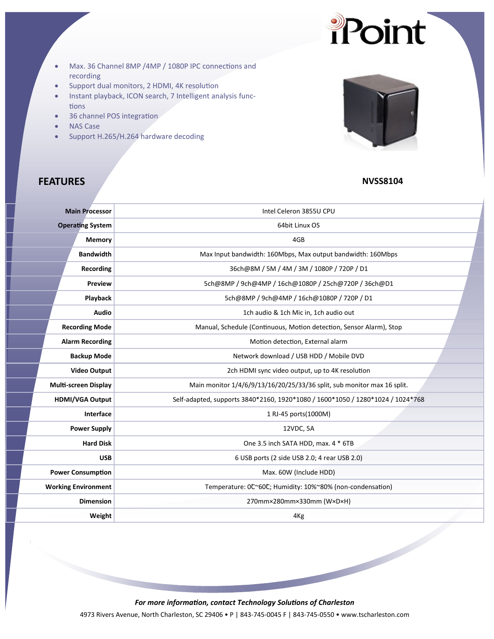- Max. 36 Channel 8MP /4MP / 1080P IPC connections and recording
- Support dual monitors, 2 HDMI, 4K resolution
- Instant playback, ICON search, 7 Intelligent analysis func‐ tions
- 36 channel POS integration
- NAS Case
- Support H.265/H.264 hardware decoding



Point

# **FEATURES** NVSS8104

| <b>Main Processor</b>       | Intel Celeron 3855U CPU                                                        |
|-----------------------------|--------------------------------------------------------------------------------|
| <b>Operating System</b>     | 64bit Linux OS                                                                 |
| <b>Memory</b>               | 4GB                                                                            |
| <b>Bandwidth</b>            | Max Input bandwidth: 160Mbps, Max output bandwidth: 160Mbps                    |
| Recording                   | 36ch@8M / 5M / 4M / 3M / 1080P / 720P / D1                                     |
| Preview                     | 5ch@8MP / 9ch@4MP / 16ch@1080P / 25ch@720P / 36ch@D1                           |
| Playback                    | 5ch@8MP / 9ch@4MP / 16ch@1080P / 720P / D1                                     |
| <b>Audio</b>                | 1ch audio & 1ch Mic in, 1ch audio out                                          |
| <b>Recording Mode</b>       | Manual, Schedule (Continuous, Motion detection, Sensor Alarm), Stop            |
| <b>Alarm Recording</b>      | Motion detection, External alarm                                               |
| <b>Backup Mode</b>          | Network download / USB HDD / Mobile DVD                                        |
| <b>Video Output</b>         | 2ch HDMI sync video output, up to 4K resolution                                |
| <b>Multi-screen Display</b> | Main monitor 1/4/6/9/13/16/20/25/33/36 split, sub monitor max 16 split.        |
| <b>HDMI/VGA Output</b>      | Self-adapted, supports 3840*2160, 1920*1080 / 1600*1050 / 1280*1024 / 1024*768 |
| Interface                   | 1 RJ-45 ports(1000M)                                                           |
| <b>Power Supply</b>         | 12VDC, 5A                                                                      |
| <b>Hard Disk</b>            | One 3.5 inch SATA HDD, max. 4 * 6TB                                            |
| <b>USB</b>                  | 6 USB ports (2 side USB 2.0; 4 rear USB 2.0)                                   |
| <b>Power Consumption</b>    | Max. 60W (Include HDD)                                                         |
| <b>Working Environment</b>  | Temperature: 0°°60°C; Humidity: 10%~80% (non-condensation)                     |
| <b>Dimension</b>            | 270mm×280mm×330mm (W×D×H)                                                      |
| Weight                      | 4 <sub>Kg</sub>                                                                |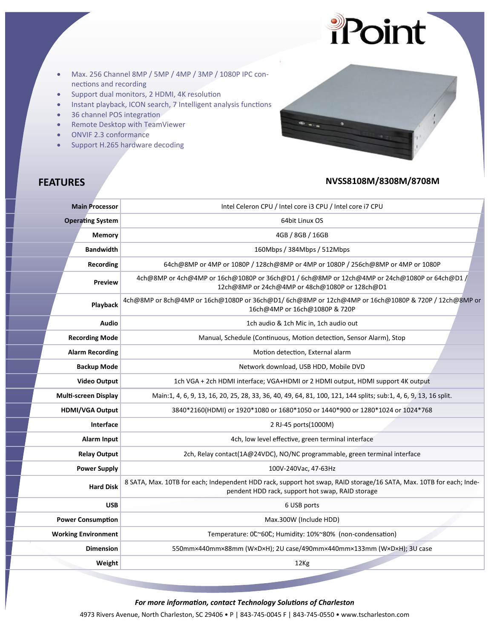

- Support dual monitors, 2 HDMI, 4K resolution
- Instant playback, ICON search, 7 Intelligent analysis functions
- 36 channel POS integration
- Remote Desktop with TeamViewer
- ONVIF 2.3 conformance
- Support H.265 hardware decoding

## **FEATURES NVSS8108M/8308M/8708M**

Point

| <b>Main Processor</b>       | Intel Celeron CPU / Intel core i3 CPU / Intel core i7 CPU                                                                                                               |
|-----------------------------|-------------------------------------------------------------------------------------------------------------------------------------------------------------------------|
| <b>Operating System</b>     | 64bit Linux OS                                                                                                                                                          |
| <b>Memory</b>               | 4GB / 8GB / 16GB                                                                                                                                                        |
| <b>Bandwidth</b>            | 160Mbps / 384Mbps / 512Mbps                                                                                                                                             |
| <b>Recording</b>            | 64ch@8MP or 4MP or 1080P / 128ch@8MP or 4MP or 1080P / 256ch@8MP or 4MP or 1080P                                                                                        |
| Preview                     | 4ch@8MP or 4ch@4MP or 16ch@1080P or 36ch@D1 / 6ch@8MP or 12ch@4MP or 24ch@1080P or 64ch@D1 /<br>12ch@8MP or 24ch@4MP or 48ch@1080P or 128ch@D1                          |
| Playback                    | 4ch@8MP or 8ch@4MP or 16ch@1080P or 36ch@D1/ 6ch@8MP or 12ch@4MP or 16ch@1080P & 720P / 12ch@8MP or<br>16ch@4MP or 16ch@1080P & 720P                                    |
| <b>Audio</b>                | 1ch audio & 1ch Mic in, 1ch audio out                                                                                                                                   |
| <b>Recording Mode</b>       | Manual, Schedule (Continuous, Motion detection, Sensor Alarm), Stop                                                                                                     |
| <b>Alarm Recording</b>      | Motion detection, External alarm                                                                                                                                        |
| <b>Backup Mode</b>          | Network download, USB HDD, Mobile DVD                                                                                                                                   |
| <b>Video Output</b>         | 1ch VGA + 2ch HDMI interface; VGA+HDMI or 2 HDMI output, HDMI support 4K output                                                                                         |
| <b>Multi-screen Display</b> | Main:1, 4, 6, 9, 13, 16, 20, 25, 28, 33, 36, 40, 49, 64, 81, 100, 121, 144 splits; sub:1, 4, 6, 9, 13, 16 split.                                                        |
| <b>HDMI/VGA Output</b>      | 3840*2160(HDMI) or 1920*1080 or 1680*1050 or 1440*900 or 1280*1024 or 1024*768                                                                                          |
| Interface                   | 2 RJ-45 ports(1000M)                                                                                                                                                    |
| Alarm Input                 | 4ch, low level effective, green terminal interface                                                                                                                      |
| <b>Relay Output</b>         | 2ch, Relay contact(1A@24VDC), NO/NC programmable, green terminal interface                                                                                              |
| <b>Power Supply</b>         | 100V-240Vac, 47-63Hz                                                                                                                                                    |
| <b>Hard Disk</b>            | 8 SATA, Max. 10TB for each; Independent HDD rack, support hot swap, RAID storage/16 SATA, Max. 10TB for each; Inde-<br>pendent HDD rack, support hot swap, RAID storage |
| <b>USB</b>                  | 6 USB ports                                                                                                                                                             |
| <b>Power Consumption</b>    | Max.300W (Include HDD)                                                                                                                                                  |
| <b>Working Environment</b>  | Temperature: 0°°60°C; Humidity: 10%~80% (non-condensation)                                                                                                              |
| <b>Dimension</b>            | 550mm×440mm×88mm (W×D×H); 2U case/490mm×440mm×133mm (W×D×H); 3U case                                                                                                    |
| Weight                      | 12Kg                                                                                                                                                                    |
|                             |                                                                                                                                                                         |

*For more information, contact Technology Solutions of Charleston*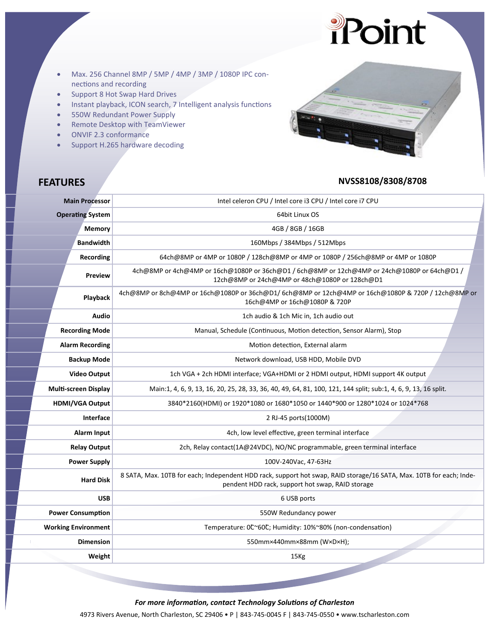# Point

- Max. 256 Channel 8MP / 5MP / 4MP / 3MP / 1080P IPC con‐ nections and recording
- Support 8 Hot Swap Hard Drives
- Instant playback, ICON search, 7 Intelligent analysis functions
- 550W Redundant Power Supply
- Remote Desktop with TeamViewer
- ONVIF 2.3 conformance
- Support H.265 hardware decoding



## **FEATURES NVSS8108/8308/8708**

| <b>Main Processor</b>       | Intel celeron CPU / Intel core i3 CPU / Intel core i7 CPU                                                                                                               |
|-----------------------------|-------------------------------------------------------------------------------------------------------------------------------------------------------------------------|
| <b>Operating System</b>     | 64bit Linux OS                                                                                                                                                          |
| <b>Memory</b>               | 4GB / 8GB / 16GB                                                                                                                                                        |
| <b>Bandwidth</b>            | 160Mbps / 384Mbps / 512Mbps                                                                                                                                             |
| Recording                   | 64ch@8MP or 4MP or 1080P / 128ch@8MP or 4MP or 1080P / 256ch@8MP or 4MP or 1080P                                                                                        |
| <b>Preview</b>              | 4ch@8MP or 4ch@4MP or 16ch@1080P or 36ch@D1 / 6ch@8MP or 12ch@4MP or 24ch@1080P or 64ch@D1 /<br>12ch@8MP or 24ch@4MP or 48ch@1080P or 128ch@D1                          |
| Playback                    | 4ch@8MP or 8ch@4MP or 16ch@1080P or 36ch@D1/6ch@8MP or 12ch@4MP or 16ch@1080P & 720P / 12ch@8MP or<br>16ch@4MP or 16ch@1080P & 720P                                     |
| Audio                       | 1ch audio & 1ch Mic in, 1ch audio out                                                                                                                                   |
| <b>Recording Mode</b>       | Manual, Schedule (Continuous, Motion detection, Sensor Alarm), Stop                                                                                                     |
| <b>Alarm Recording</b>      | Motion detection, External alarm                                                                                                                                        |
| <b>Backup Mode</b>          | Network download, USB HDD, Mobile DVD                                                                                                                                   |
| <b>Video Output</b>         | 1ch VGA + 2ch HDMI interface; VGA+HDMI or 2 HDMI output, HDMI support 4K output                                                                                         |
| <b>Multi-screen Display</b> | Main:1, 4, 6, 9, 13, 16, 20, 25, 28, 33, 36, 40, 49, 64, 81, 100, 121, 144 split; sub:1, 4, 6, 9, 13, 16 split.                                                         |
| <b>HDMI/VGA Output</b>      | 3840*2160(HDMI) or 1920*1080 or 1680*1050 or 1440*900 or 1280*1024 or 1024*768                                                                                          |
| Interface                   | 2 RJ-45 ports(1000M)                                                                                                                                                    |
| Alarm Input                 | 4ch, low level effective, green terminal interface                                                                                                                      |
| <b>Relay Output</b>         | 2ch, Relay contact(1A@24VDC), NO/NC programmable, green terminal interface                                                                                              |
| <b>Power Supply</b>         | 100V-240Vac, 47-63Hz                                                                                                                                                    |
| <b>Hard Disk</b>            | 8 SATA, Max. 10TB for each; Independent HDD rack, support hot swap, RAID storage/16 SATA, Max. 10TB for each; Inde-<br>pendent HDD rack, support hot swap, RAID storage |
| <b>USB</b>                  | 6 USB ports                                                                                                                                                             |
| <b>Power Consumption</b>    | 550W Redundancy power                                                                                                                                                   |
| <b>Working Environment</b>  | Temperature: 0°C60°C; Humidity: 10%~80% (non-condensation)                                                                                                              |
| <b>Dimension</b>            | 550mm×440mm×88mm (W×D×H);                                                                                                                                               |
| Weight                      | 15Kg                                                                                                                                                                    |

*For more information, contact Technology Solutions of Charleston*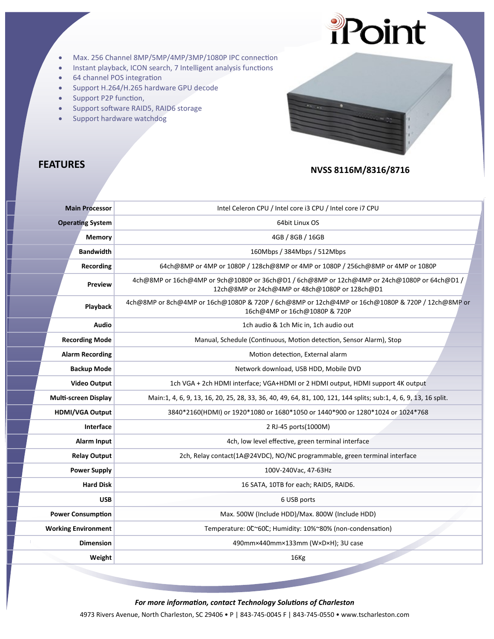

- Max. 256 Channel 8MP/5MP/4MP/3MP/1080P IPC connection
- Instant playback, ICON search, 7 Intelligent analysis functions
- 64 channel POS integration
- Support H.264/H.265 hardware GPU decode
- Support P2P function,
- Support software RAID5, RAID6 storage
- Support hardware watchdog

# **FEATURES** NVSS 8116M/8316/8716

| <b>Main Processor</b>   |                             | Intel Celeron CPU / Intel core i3 CPU / Intel core i7 CPU                                                                                      |
|-------------------------|-----------------------------|------------------------------------------------------------------------------------------------------------------------------------------------|
| <b>Operating System</b> |                             | 64bit Linux OS                                                                                                                                 |
|                         | <b>Memory</b>               | 4GB / 8GB / 16GB                                                                                                                               |
|                         | <b>Bandwidth</b>            | 160Mbps / 384Mbps / 512Mbps                                                                                                                    |
|                         | Recording                   | 64ch@8MP or 4MP or 1080P / 128ch@8MP or 4MP or 1080P / 256ch@8MP or 4MP or 1080P                                                               |
|                         | Preview                     | 4ch@8MP or 16ch@4MP or 9ch@1080P or 36ch@D1 / 6ch@8MP or 12ch@4MP or 24ch@1080P or 64ch@D1 /<br>12ch@8MP or 24ch@4MP or 48ch@1080P or 128ch@D1 |
|                         | Playback                    | 4ch@8MP or 8ch@4MP or 16ch@1080P & 720P / 6ch@8MP or 12ch@4MP or 16ch@1080P & 720P / 12ch@8MP or<br>16ch@4MP or 16ch@1080P & 720P              |
|                         | <b>Audio</b>                | 1ch audio & 1ch Mic in, 1ch audio out                                                                                                          |
|                         | <b>Recording Mode</b>       | Manual, Schedule (Continuous, Motion detection, Sensor Alarm), Stop                                                                            |
|                         | <b>Alarm Recording</b>      | Motion detection, External alarm                                                                                                               |
|                         | <b>Backup Mode</b>          | Network download, USB HDD, Mobile DVD                                                                                                          |
|                         | <b>Video Output</b>         | 1ch VGA + 2ch HDMI interface; VGA+HDMI or 2 HDMI output, HDMI support 4K output                                                                |
|                         | <b>Multi-screen Display</b> | Main:1, 4, 6, 9, 13, 16, 20, 25, 28, 33, 36, 40, 49, 64, 81, 100, 121, 144 splits; sub:1, 4, 6, 9, 13, 16 split.                               |
|                         | <b>HDMI/VGA Output</b>      | 3840*2160(HDMI) or 1920*1080 or 1680*1050 or 1440*900 or 1280*1024 or 1024*768                                                                 |
|                         | Interface                   | 2 RJ-45 ports(1000M)                                                                                                                           |
|                         | Alarm Input                 | 4ch, low level effective, green terminal interface                                                                                             |
|                         | <b>Relay Output</b>         | 2ch, Relay contact(1A@24VDC), NO/NC programmable, green terminal interface                                                                     |
|                         | <b>Power Supply</b>         | 100V-240Vac, 47-63Hz                                                                                                                           |
|                         | <b>Hard Disk</b>            | 16 SATA, 10TB for each; RAID5, RAID6.                                                                                                          |
|                         | <b>USB</b>                  | 6 USB ports                                                                                                                                    |
|                         | <b>Power Consumption</b>    | Max. 500W (Include HDD)/Max. 800W (Include HDD)                                                                                                |
|                         | <b>Working Environment</b>  | Temperature: 0°C60°C; Humidity: 10%~80% (non-condensation)                                                                                     |
|                         | <b>Dimension</b>            | 490mm×440mm×133mm (W×D×H); 3U case                                                                                                             |
|                         | Weight                      | 16 <sub>Kg</sub>                                                                                                                               |
|                         |                             |                                                                                                                                                |

*For more information, contact Technology Solutions of Charleston*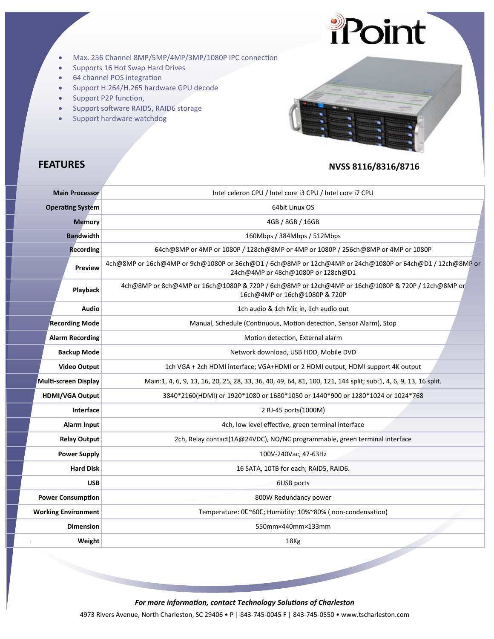

- Max. 256 Channel 8MP/5MP/4MP/3MP/1080P IPC connection
- Supports 16 Hot Swap Hard Drives
- 64 channel POS integration
- Support H.264/H.265 hardware GPU decode
- Support P2P function,
- Support software RAID5, RAID6 storage
- Support hardware watchdog



# **FEATURES** NVSS 8116/8316/8716

|                     | <b>Main Processor</b>      | Intel celeron CPU / Intel core i3 CPU / Intel core i7 CPU                                                                                      |
|---------------------|----------------------------|------------------------------------------------------------------------------------------------------------------------------------------------|
|                     | <b>Operating System</b>    | 64bit Linux OS                                                                                                                                 |
|                     | <b>Memory</b>              | 4GB / 8GB / 16GB                                                                                                                               |
|                     | <b>Bandwidth</b>           | 160Mbps / 384Mbps / 512Mbps                                                                                                                    |
|                     | <b>Recording</b>           | 64ch@8MP or 4MP or 1080P / 128ch@8MP or 4MP or 1080P / 256ch@8MP or 4MP or 1080P                                                               |
|                     | <b>Preview</b>             | 4ch@8MP or 16ch@4MP or 9ch@1080P or 36ch@D1 / 6ch@8MP or 12ch@4MP or 24ch@1080P or 64ch@D1 / 12ch@8MP or<br>24ch@4MP or 48ch@1080P or 128ch@D1 |
|                     | Playback                   | 4ch@8MP or 8ch@4MP or 16ch@1080P & 720P / 6ch@8MP or 12ch@4MP or 16ch@1080P & 720P / 12ch@8MP or<br>16ch@4MP or 16ch@1080P & 720P              |
|                     | Audio                      | 1ch audio & 1ch Mic in, 1ch audio out                                                                                                          |
|                     | <b>Recording Mode</b>      | Manual, Schedule (Continuous, Motion detection, Sensor Alarm), Stop                                                                            |
|                     | <b>Alarm Recording</b>     | Motion detection, External alarm                                                                                                               |
|                     | <b>Backup Mode</b>         | Network download, USB HDD, Mobile DVD                                                                                                          |
|                     | <b>Video Output</b>        | 1ch VGA + 2ch HDMI interface; VGA+HDMI or 2 HDMI output, HDMI support 4K output                                                                |
|                     | Multi-screen Display       | Main:1, 4, 6, 9, 13, 16, 20, 25, 28, 33, 36, 40, 49, 64, 81, 100, 121, 144 split; sub:1, 4, 6, 9, 13, 16 split.                                |
|                     | HDMI/VGA Output            | 3840*2160(HDMI) or 1920*1080 or 1680*1050 or 1440*900 or 1280*1024 or 1024*768                                                                 |
|                     | Interface                  | 2 RJ-45 ports(1000M)                                                                                                                           |
|                     | Alarm Input                | 4ch, low level effective, green terminal interface                                                                                             |
|                     | <b>Relay Output</b>        | 2ch, Relay contact(1A@24VDC), NO/NC programmable, green terminal interface                                                                     |
| <b>Power Supply</b> |                            | 100V-240Vac, 47-63Hz                                                                                                                           |
| <b>Hard Disk</b>    |                            | 16 SATA, 10TB for each; RAID5, RAID6.                                                                                                          |
|                     | <b>USB</b>                 | 6USB ports                                                                                                                                     |
|                     | <b>Power Consumption</b>   | 800W Redundancy power                                                                                                                          |
|                     | <b>Working Environment</b> | Temperature: 0C~60C; Humidity: 10%~80% (non-condensation)                                                                                      |
|                     | <b>Dimension</b>           | 550mm×440mm×133mm                                                                                                                              |
|                     | Weight                     | 18Kg                                                                                                                                           |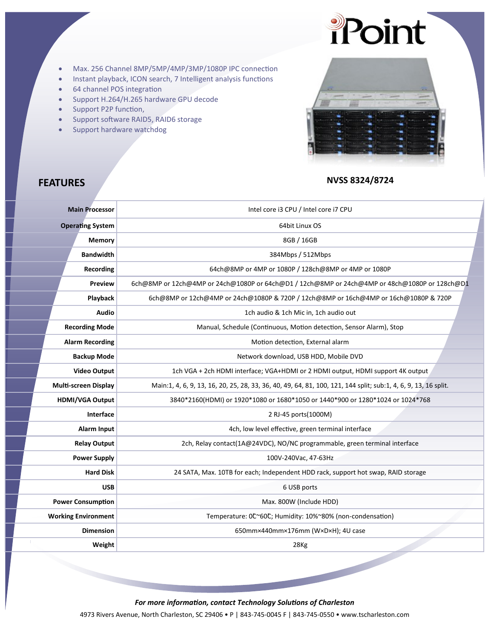

- Max. 256 Channel 8MP/5MP/4MP/3MP/1080P IPC connection
- Instant playback, ICON search, 7 Intelligent analysis functions
- 64 channel POS integration
- Support H.264/H.265 hardware GPU decode
- Support P2P function,
- Support software RAID5, RAID6 storage
- Support hardware watchdog



# **FEATURES** NVSS 8324/8724

| Intel core i3 CPU / Intel core i7 CPU                                                                           |
|-----------------------------------------------------------------------------------------------------------------|
| 64bit Linux OS                                                                                                  |
| 8GB / 16GB                                                                                                      |
| 384Mbps / 512Mbps                                                                                               |
| 64ch@8MP or 4MP or 1080P / 128ch@8MP or 4MP or 1080P                                                            |
| 6ch@8MP or 12ch@4MP or 24ch@1080P or 64ch@D1 / 12ch@8MP or 24ch@4MP or 48ch@1080P or 128ch@D1                   |
| 6ch@8MP or 12ch@4MP or 24ch@1080P & 720P / 12ch@8MP or 16ch@4MP or 16ch@1080P & 720P                            |
| 1ch audio & 1ch Mic in, 1ch audio out                                                                           |
| Manual, Schedule (Continuous, Motion detection, Sensor Alarm), Stop                                             |
| Motion detection, External alarm                                                                                |
| Network download, USB HDD, Mobile DVD                                                                           |
| 1ch VGA + 2ch HDMI interface; VGA+HDMI or 2 HDMI output, HDMI support 4K output                                 |
| Main:1, 4, 6, 9, 13, 16, 20, 25, 28, 33, 36, 40, 49, 64, 81, 100, 121, 144 split; sub:1, 4, 6, 9, 13, 16 split. |
| 3840*2160(HDMI) or 1920*1080 or 1680*1050 or 1440*900 or 1280*1024 or 1024*768                                  |
| 2 RJ-45 ports(1000M)                                                                                            |
| 4ch, low level effective, green terminal interface                                                              |
| 2ch, Relay contact(1A@24VDC), NO/NC programmable, green terminal interface                                      |
| 100V-240Vac, 47-63Hz                                                                                            |
| 24 SATA, Max. 10TB for each; Independent HDD rack, support hot swap, RAID storage                               |
| 6 USB ports                                                                                                     |
| Max. 800W (Include HDD)                                                                                         |
| Temperature: 0°C60°C; Humidity: 10%~80% (non-condensation)                                                      |
| 650mm×440mm×176mm (W×D×H); 4U case                                                                              |
| 28Kg                                                                                                            |
|                                                                                                                 |

*For more information, contact Technology Solutions of Charleston*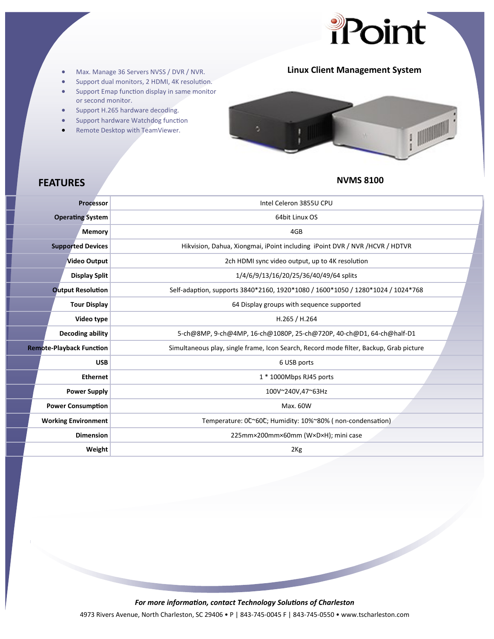

# Max. Manage 36 Servers NVSS / DVR / NVR. **Linux Client Management System**

- 
- Support dual monitors, 2 HDMI, 4K resolution.
- **Support Emap function display in same monitor** or second monitor.
- Support H.265 hardware decoding.
- Support hardware Watchdog function
- Remote Desktop with TeamViewer.



# **FEATURES NVMS 8100**

| <b>Processor</b>                | Intel Celeron 3855U CPU                                                                |
|---------------------------------|----------------------------------------------------------------------------------------|
| <b>Operating System</b>         | 64bit Linux OS                                                                         |
| <b>Memory</b>                   | 4GB                                                                                    |
| <b>Supported Devices</b>        | Hikvision, Dahua, Xiongmai, iPoint including iPoint DVR / NVR / HCVR / HDTVR           |
| <b>Video Output</b>             | 2ch HDMI sync video output, up to 4K resolution                                        |
| <b>Display Split</b>            | 1/4/6/9/13/16/20/25/36/40/49/64 splits                                                 |
| <b>Output Resolution</b>        | Self-adaption, supports 3840*2160, 1920*1080 / 1600*1050 / 1280*1024 / 1024*768        |
| <b>Tour Display</b>             | 64 Display groups with sequence supported                                              |
| Video type                      | H.265 / H.264                                                                          |
| <b>Decoding ability</b>         | 5-ch@8MP, 9-ch@4MP, 16-ch@1080P, 25-ch@720P, 40-ch@D1, 64-ch@half-D1                   |
| <b>Remote-Playback Function</b> | Simultaneous play, single frame, Icon Search, Record mode filter, Backup, Grab picture |
| <b>USB</b>                      | 6 USB ports                                                                            |
| <b>Ethernet</b>                 | $1 * 1000$ Mbps RJ45 ports                                                             |
| <b>Power Supply</b>             | 100V~240V,47~63Hz                                                                      |
| <b>Power Consumption</b>        | Max. 60W                                                                               |
| <b>Working Environment</b>      | Temperature: 0°C60°C; Humidity: 10%~80% (non-condensation)                             |
| <b>Dimension</b>                | 225mm×200mm×60mm (W×D×H); mini case                                                    |
| Weight                          | 2 <sub>Kg</sub>                                                                        |